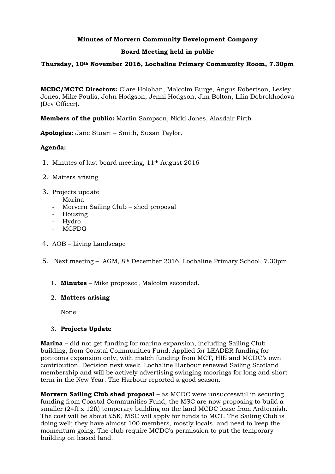## **Minutes of Morvern Community Development Company**

## **Board Meeting held in public**

#### **Thursday, 10th November 2016, Lochaline Primary Community Room, 7.30pm**

**MCDC/MCTC Directors:** Clare Holohan, Malcolm Burge, Angus Robertson, Lesley Jones, Mike Foulis, John Hodgson, Jenni Hodgson, Jim Bolton, Lilia Dobrokhodova (Dev Officer).

**Members of the public:** Martin Sampson, Nicki Jones, Alasdair Firth

**Apologies:** Jane Stuart – Smith, Susan Taylor.

## **Agenda:**

- 1. Minutes of last board meeting, 11th August 2016
- 2. Matters arising
- 3. Projects update
	- Marina
	- Morvern Sailing Club shed proposal
	- Housing
	- Hydro
	- MCFDG
- 4. AOB Living Landscape
- 5. Next meeting AGM, 8th December 2016, Lochaline Primary School, 7.30pm
	- 1. **Minutes** Mike proposed, Malcolm seconded.

#### 2. **Matters arising**

None

#### 3. **Projects Update**

**Marina** – did not get funding for marina expansion, including Sailing Club building, from Coastal Communities Fund. Applied for LEADER funding for pontoons expansion only, with match funding from MCT, HIE and MCDC's own contribution. Decision next week. Lochaline Harbour renewed Sailing Scotland membership and will be actively advertising swinging moorings for long and short term in the New Year. The Harbour reported a good season.

**Morvern Sailing Club shed proposal** – as MCDC were unsuccessful in securing funding from Coastal Communities Fund, the MSC are now proposing to build a smaller (24ft x 12ft) temporary building on the land MCDC lease from Ardtornish. The cost will be about £5K, MSC will apply for funds to MCT. The Sailing Club is doing well; they have almost 100 members, mostly locals, and need to keep the momentum going. The club require MCDC's permission to put the temporary building on leased land.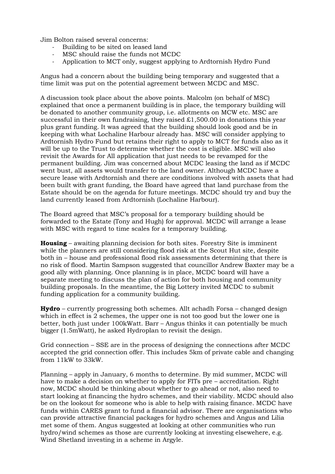Jim Bolton raised several concerns:

- Building to be sited on leased land
- MSC should raise the funds not MCDC
- Application to MCT only, suggest applying to Ardtornish Hydro Fund

Angus had a concern about the building being temporary and suggested that a time limit was put on the potential agreement between MCDC and MSC.

A discussion took place about the above points. Malcolm (on behalf of MSC) explained that once a permanent building is in place, the temporary building will be donated to another community group, i.e. allotments on MCW etc. MSC are successful in their own fundraising, they raised £1,500.00 in donations this year plus grant funding. It was agreed that the building should look good and be in keeping with what Lochaline Harbour already has. MSC will consider applying to Ardtornish Hydro Fund but retains their right to apply to MCT for funds also as it will be up to the Trust to determine whether the cost is eligible. MSC will also revisit the Awards for All application that just needs to be revamped for the permanent building. Jim was concerned about MCDC leasing the land as if MCDC went bust, all assets would transfer to the land owner. Although MCDC have a secure lease with Ardtornish and there are conditions involved with assets that had been built with grant funding, the Board have agreed that land purchase from the Estate should be on the agenda for future meetings. MCDC should try and buy the land currently leased from Ardtornish (Lochaline Harbour).

The Board agreed that MSC's proposal for a temporary building should be forwarded to the Estate (Tony and Hugh) for approval. MCDC will arrange a lease with MSC with regard to time scales for a temporary building.

**Housing** – awaiting planning decision for both sites. Forestry Site is imminent while the planners are still considering flood risk at the Scout Hut site, despite both in – house and professional flood risk assessments determining that there is no risk of flood. Martin Sampson suggested that councillor Andrew Baxter may be a good ally with planning. Once planning is in place, MCDC board will have a separate meeting to discuss the plan of action for both housing and community building proposals. In the meantime, the Big Lottery invited MCDC to submit funding application for a community building.

**Hydro** – currently progressing both schemes. Allt achadh Forsa – changed design which in effect is 2 schemes, the upper one is not too good but the lower one is better, both just under 100kWatt. Barr – Angus thinks it can potentially be much bigger (1.5mWatt), he asked Hydroplan to revisit the design.

Grid connection – SSE are in the process of designing the connections after MCDC accepted the grid connection offer. This includes 5km of private cable and changing from 11kW to 33kW.

Planning – apply in January, 6 months to determine. By mid summer, MCDC will have to make a decision on whether to apply for FITs pre – accreditation. Right now, MCDC should be thinking about whether to go ahead or not, also need to start looking at financing the hydro schemes, and their viability. MCDC should also be on the lookout for someone who is able to help with raising finance. MCDC have funds within CARES grant to fund a financial advisor. There are organisations who can provide attractive financial packages for hydro schemes and Angus and Lilia met some of them. Angus suggested at looking at other communities who run hydro/wind schemes as those are currently looking at investing elsewehere, e.g. Wind Shetland investing in a scheme in Argyle.